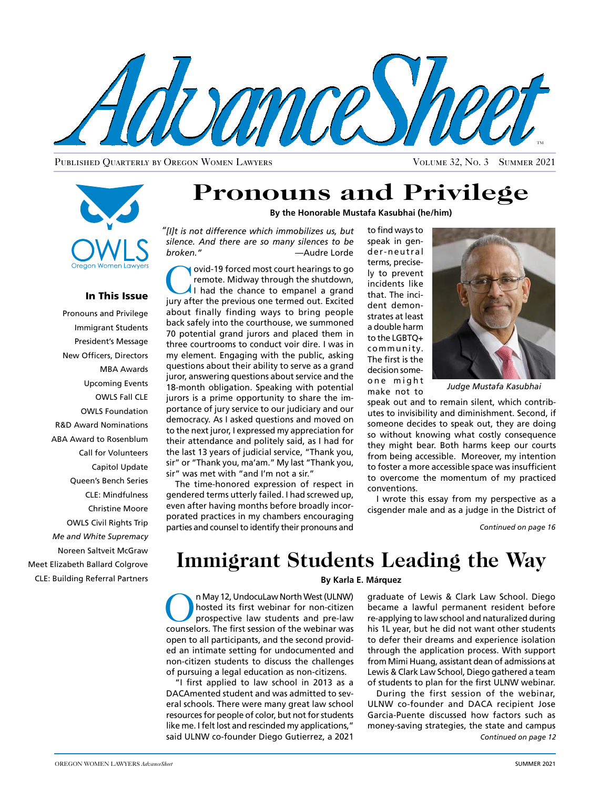

Published Quarterly by Oregon Women Lawyers Volume 32, No. 3 Summer 2021



### In This Issue

Pronouns and Privilege Immigrant Students President's Message New Officers, Directors MBA Awards Upcoming Events OWLS Fall CLE OWLS Foundation R&D Award Nominations ABA Award to Rosenblum Call for Volunteers Capitol Update Queen's Bench Series CLE: Mindfulness Christine Moore OWLS Civil Rights Trip *Me and White Supremacy*  Noreen Saltveit McGraw Meet Elizabeth Ballard Colgrove CLE: Building Referral Partners

# **Pronouns and Privilege**

**By the Honorable Mustafa Kasubhai (he/him)**

*[I]t is not difference which immobilizes us, but "silence. And there are so many silences to be broken."* —Audre Lorde

**Covid-19 forced most court hearings to go remote. Midway through the shutdown,**<br>I had the chance to empanel a grand<br>iury after the provious one termed out. Excited remote. Midway through the shutdown, jury after the previous one termed out. Excited about finally finding ways to bring people back safely into the courthouse, we summoned 70 potential grand jurors and placed them in three courtrooms to conduct voir dire. I was in my element. Engaging with the public, asking questions about their ability to serve as a grand juror, answering questions about service and the 18-month obligation. Speaking with potential jurors is a prime opportunity to share the importance of jury service to our judiciary and our democracy. As I asked questions and moved on to the next juror, I expressed my appreciation for their attendance and politely said, as I had for the last 13 years of judicial service, "Thank you, sir" or "Thank you, ma'am." My last "Thank you, sir" was met with "and I'm not a sir."

The time-honored expression of respect in gendered terms utterly failed. I had screwed up, even after having months before broadly incorporated practices in my chambers encouraging parties and counsel to identify their pronouns and

to find ways to speak in gender-neutral terms, precisely to prevent incidents like that. The incident demonstrates at least a double harm to the LGBTQ+ community. The first is the decision someone might make not to



*Judge Mustafa Kasubhai*

speak out and to remain silent, which contributes to invisibility and diminishment. Second, if someone decides to speak out, they are doing so without knowing what costly consequence they might bear. Both harms keep our courts from being accessible. Moreover, my intention to foster a more accessible space was insufficient to overcome the momentum of my practiced conventions.

I wrote this essay from my perspective as a cisgender male and as a judge in the District of

*Continued on page 16*

# **Immigrant Students Leading the Way**

### **By Karla E. Márquez**

On May 12, UndocuLaw North West (ULNW)<br>
hosted its first webinar for non-citizen<br>
prospective law students and pre-law<br>
counselors. The first session of the webinar was hosted its first webinar for non-citizen counselors. The first session of the webinar was open to all participants, and the second provided an intimate setting for undocumented and non-citizen students to discuss the challenges of pursuing a legal education as non-citizens.

"I first applied to law school in 2013 as a DACAmented student and was admitted to several schools. There were many great law school resources for people of color, but not for students like me. I felt lost and rescinded my applications," said ULNW co-founder Diego Gutierrez, a 2021

graduate of Lewis & Clark Law School. Diego became a lawful permanent resident before re-applying to law school and naturalized during his 1L year, but he did not want other students to defer their dreams and experience isolation through the application process. With support from Mimi Huang, assistant dean of admissions at Lewis & Clark Law School, Diego gathered a team of students to plan for the first ULNW webinar.

*Continued on page 12* During the first session of the webinar, ULNW co-founder and DACA recipient Jose Garcia-Puente discussed how factors such as money-saving strategies, the state and campus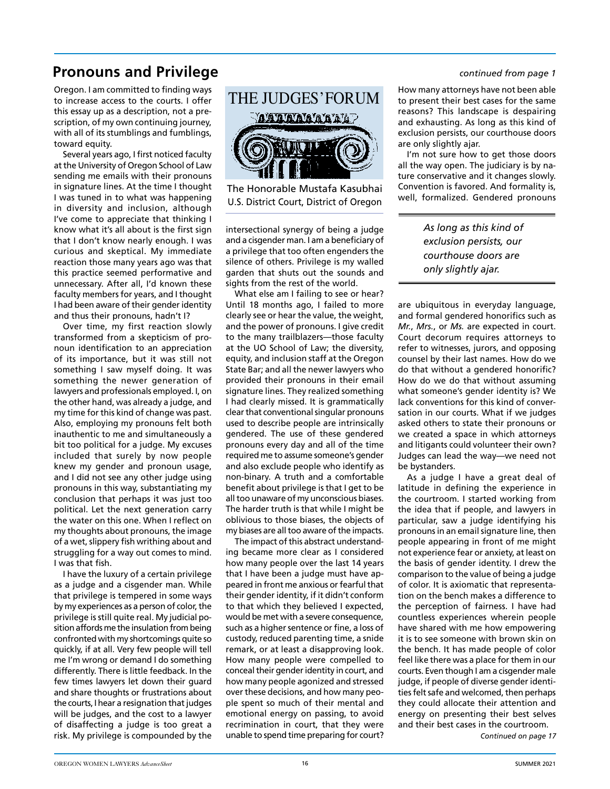## **Pronouns and Privilege** *Pronouns and Privilege*

Oregon. I am committed to finding ways to increase access to the courts. I offer this essay up as a description, not a prescription, of my own continuing journey, with all of its stumblings and fumblings, toward equity.

Several years ago, I first noticed faculty at the University of Oregon School of Law sending me emails with their pronouns in signature lines. At the time I thought I was tuned in to what was happening in diversity and inclusion, although I've come to appreciate that thinking I know what it's all about is the first sign that I don't know nearly enough. I was curious and skeptical. My immediate reaction those many years ago was that this practice seemed performative and unnecessary. After all, I'd known these faculty members for years, and I thought I had been aware of their gender identity and thus their pronouns, hadn't I?

Over time, my first reaction slowly transformed from a skepticism of pronoun identification to an appreciation of its importance, but it was still not something I saw myself doing. It was something the newer generation of lawyers and professionals employed. I, on the other hand, was already a judge, and my time for this kind of change was past. Also, employing my pronouns felt both inauthentic to me and simultaneously a bit too political for a judge. My excuses included that surely by now people knew my gender and pronoun usage, and I did not see any other judge using pronouns in this way, substantiating my conclusion that perhaps it was just too political. Let the next generation carry the water on this one. When I reflect on my thoughts about pronouns, the image of a wet, slippery fish writhing about and struggling for a way out comes to mind. I was that fish.

I have the luxury of a certain privilege as a judge and a cisgender man. While that privilege is tempered in some ways by my experiences as a person of color, the privilege is still quite real. My judicial position affords me the insulation from being confronted with my shortcomings quite so quickly, if at all. Very few people will tell me I'm wrong or demand I do something differently. There is little feedback. In the few times lawyers let down their guard and share thoughts or frustrations about the courts, I hear a resignation that judges will be judges, and the cost to a lawyer of disaffecting a judge is too great a risk. My privilege is compounded by the



The Honorable Mustafa Kasubhai U.S. District Court, District of Oregon

intersectional synergy of being a judge and a cisgender man. I am a beneficiary of a privilege that too often engenders the silence of others. Privilege is my walled garden that shuts out the sounds and sights from the rest of the world.

What else am I failing to see or hear? Until 18 months ago, I failed to more clearly see or hear the value, the weight, and the power of pronouns. I give credit to the many trailblazers—those faculty at the UO School of Law; the diversity, equity, and inclusion staff at the Oregon State Bar; and all the newer lawyers who provided their pronouns in their email signature lines. They realized something I had clearly missed. It is grammatically clear that conventional singular pronouns used to describe people are intrinsically gendered. The use of these gendered pronouns every day and all of the time required me to assume someone's gender and also exclude people who identify as non-binary. A truth and a comfortable benefit about privilege is that I get to be all too unaware of my unconscious biases. The harder truth is that while I might be oblivious to those biases, the objects of my biases are all too aware of the impacts.

The impact of this abstract understanding became more clear as I considered how many people over the last 14 years that I have been a judge must have appeared in front me anxious or fearful that their gender identity, if it didn't conform to that which they believed I expected, would be met with a severe consequence, such as a higher sentence or fine, a loss of custody, reduced parenting time, a snide remark, or at least a disapproving look. How many people were compelled to conceal their gender identity in court, and how many people agonized and stressed over these decisions, and how many people spent so much of their mental and emotional energy on passing, to avoid recrimination in court, that they were unable to spend time preparing for court?

How many attorneys have not been able to present their best cases for the same reasons? This landscape is despairing and exhausting. As long as this kind of exclusion persists, our courthouse doors are only slightly ajar.

I'm not sure how to get those doors all the way open. The judiciary is by nature conservative and it changes slowly. Convention is favored. And formality is, well, formalized. Gendered pronouns

> *As long as this kind of exclusion persists, our courthouse doors are only slightly ajar.*

are ubiquitous in everyday language, and formal gendered honorifics such as *Mr.*, *Mrs.*, or *Ms.* are expected in court. Court decorum requires attorneys to refer to witnesses, jurors, and opposing counsel by their last names. How do we do that without a gendered honorific? How do we do that without assuming what someone's gender identity is? We lack conventions for this kind of conversation in our courts. What if we judges asked others to state their pronouns or we created a space in which attorneys and litigants could volunteer their own? Judges can lead the way—we need not be bystanders.

As a judge I have a great deal of latitude in defining the experience in the courtroom. I started working from the idea that if people, and lawyers in particular, saw a judge identifying his pronouns in an email signature line, then people appearing in front of me might not experience fear or anxiety, at least on the basis of gender identity. I drew the comparison to the value of being a judge of color. It is axiomatic that representation on the bench makes a difference to the perception of fairness. I have had countless experiences wherein people have shared with me how empowering it is to see someone with brown skin on the bench. It has made people of color feel like there was a place for them in our courts. Even though I am a cisgender male judge, if people of diverse gender identities felt safe and welcomed, then perhaps they could allocate their attention and energy on presenting their best selves and their best cases in the courtroom.

*[Continued on page 17](#page-2-0)*